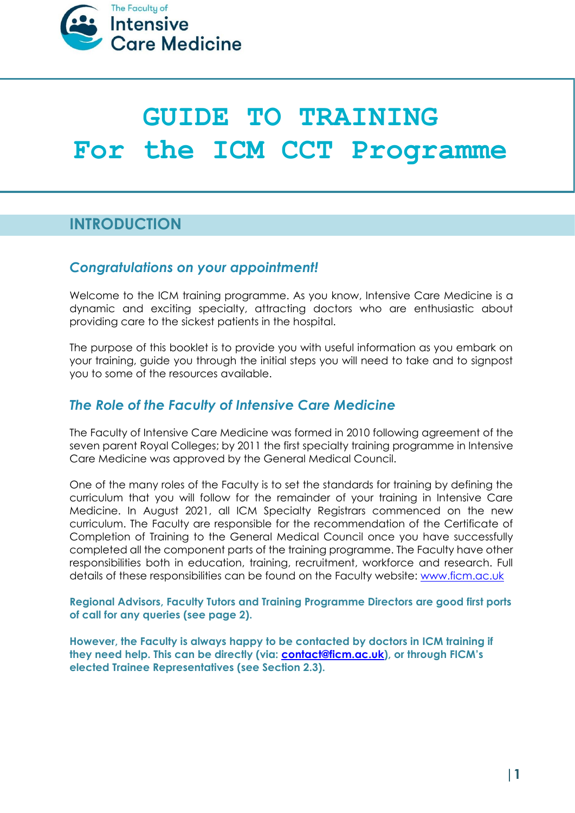

# **GUIDE TO TRAINING For the ICM CCT Programme**

# **INTRODUCTION**

### *Congratulations on your appointment!*

Welcome to the ICM training programme. As you know, Intensive Care Medicine is a dynamic and exciting specialty, attracting doctors who are enthusiastic about providing care to the sickest patients in the hospital.

The purpose of this booklet is to provide you with useful information as you embark on your training, guide you through the initial steps you will need to take and to signpost you to some of the resources available.

## *The Role of the Faculty of Intensive Care Medicine*

The Faculty of Intensive Care Medicine was formed in 2010 following agreement of the seven parent Royal Colleges; by 2011 the first specialty training programme in Intensive Care Medicine was approved by the General Medical Council.

One of the many roles of the Faculty is to set the standards for training by defining the curriculum that you will follow for the remainder of your training in Intensive Care Medicine. In August 2021, all ICM Specialty Registrars commenced on the new curriculum. The Faculty are responsible for the recommendation of the Certificate of Completion of Training to the General Medical Council once you have successfully completed all the component parts of the training programme. The Faculty have other responsibilities both in education, training, recruitment, workforce and research. Full details of these responsibilities can be found on the Faculty website: [www.ficm.ac.uk](http://www.ficm.ac.uk/)

**Regional Advisors, Faculty Tutors and Training Programme Directors are good first ports of call for any queries (see page 2).**

**However, the Faculty is always happy to be contacted by doctors in ICM training if they need help. This can be directly (via: [contact@ficm.ac.uk](mailto:contact@ficm.ac.uk)), or through FICM's elected Trainee Representatives (see Section 2.3).**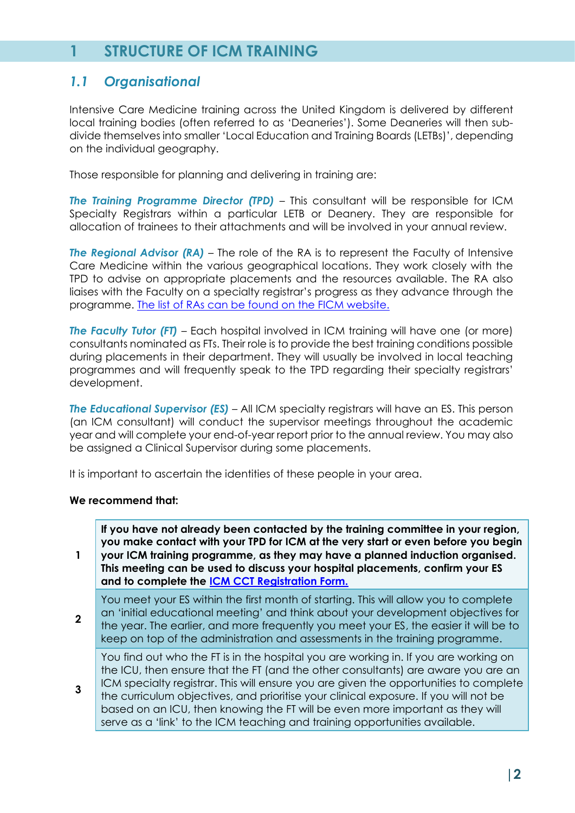# **1 STRUCTURE OF ICM TRAINING**

## *1.1 Organisational*

Intensive Care Medicine training across the United Kingdom is delivered by different local training bodies (often referred to as 'Deaneries'). Some Deaneries will then subdivide themselves into smaller 'Local Education and Training Boards (LETBs)', depending on the individual geography.

Those responsible for planning and delivering in training are:

*The Training Programme Director (TPD)* – This consultant will be responsible for ICM Specialty Registrars within a particular LETB or Deanery. They are responsible for allocation of trainees to their attachments and will be involved in your annual review.

**The Regional Advisor (RA)** – The role of the RA is to represent the Faculty of Intensive Care Medicine within the various geographical locations. They work closely with the TPD to advise on appropriate placements and the resources available. The RA also liaises with the Faculty on a specialty registrar's progress as they advance through the programme. [The list of RAs can be found on the FICM website.](https://www.ficm.ac.uk/trainingexamsregionaladvisorsfacultytutors/regional-advisors)

**The Faculty Tutor (FT)** – Each hospital involved in ICM training will have one (or more) consultants nominated as FTs. Their role is to provide the best training conditions possible during placements in their department. They will usually be involved in local teaching programmes and will frequently speak to the TPD regarding their specialty registrars' development.

*The Educational Supervisor (ES)* – All ICM specialty registrars will have an ES. This person (an ICM consultant) will conduct the supervisor meetings throughout the academic year and will complete your end-of-year report prior to the annual review. You may also be assigned a Clinical Supervisor during some placements.

It is important to ascertain the identities of these people in your area.

#### **We recommend that:**

**1**

**2**

**3**

**If you have not already been contacted by the training committee in your region, you make contact with your TPD for ICM at the very start or even before you begin your ICM training programme, as they may have a planned induction organised. This meeting can be used to discuss your hospital placements, confirm your ES and to complete the [ICM CCT Registration Form.](https://www.ficm.ac.uk/sites/ficm/files/documents/2022-04/FICM_ICM_CCT_Trainee_Registration_Form_v8.docx)**

You meet your ES within the first month of starting. This will allow you to complete an 'initial educational meeting' and think about your development objectives for the year. The earlier, and more frequently you meet your ES, the easier it will be to keep on top of the administration and assessments in the training programme.

You find out who the FT is in the hospital you are working in. If you are working on the ICU, then ensure that the FT (and the other consultants) are aware you are an ICM specialty registrar. This will ensure you are given the opportunities to complete the curriculum objectives, and prioritise your clinical exposure. If you will not be based on an ICU, then knowing the FT will be even more important as they will serve as a 'link' to the ICM teaching and training opportunities available.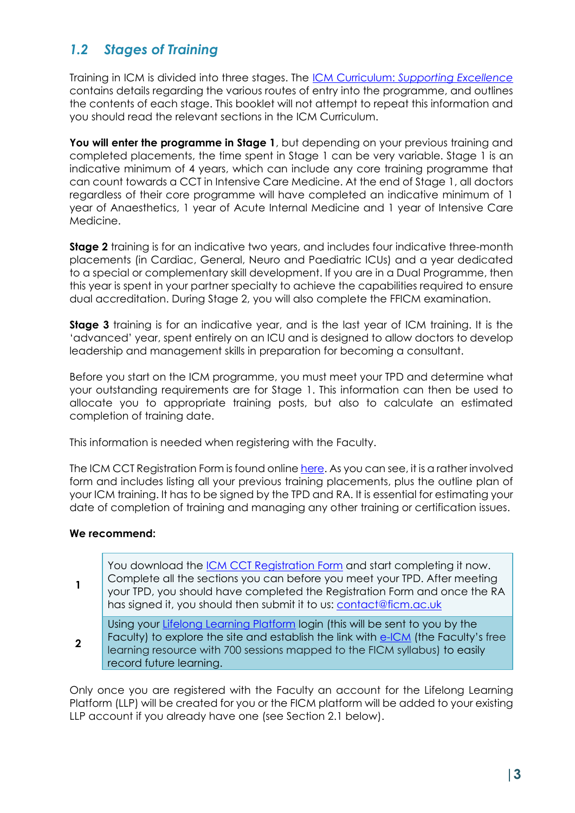## *1.2 Stages of Training*

Training in ICM is divided into three stages. The ICM Curriculum: *[Supporting Excellence](https://www.ficm.ac.uk/sites/ficm/files/documents/2021-11/ICM%20Curriculum%202021%20v1.1_0.pdf)* contains details regarding the various routes of entry into the programme, and outlines the contents of each stage. This booklet will not attempt to repeat this information and you should read the relevant sections in the ICM Curriculum.

You will enter the programme in Stage 1, but depending on your previous training and completed placements, the time spent in Stage 1 can be very variable. Stage 1 is an indicative minimum of 4 years, which can include any core training programme that can count towards a CCT in Intensive Care Medicine. At the end of Stage 1, all doctors regardless of their core programme will have completed an indicative minimum of 1 year of Anaesthetics, 1 year of Acute Internal Medicine and 1 year of Intensive Care Medicine.

**Stage 2** training is for an indicative two years, and includes four indicative three-month placements (in Cardiac, General, Neuro and Paediatric ICUs) and a year dedicated to a special or complementary skill development. If you are in a Dual Programme, then this year is spent in your partner specialty to achieve the capabilities required to ensure dual accreditation. During Stage 2, you will also complete the FFICM examination.

**Stage 3** training is for an indicative year, and is the last year of ICM training. It is the 'advanced' year, spent entirely on an ICU and is designed to allow doctors to develop leadership and management skills in preparation for becoming a consultant.

Before you start on the ICM programme, you must meet your TPD and determine what your outstanding requirements are for Stage 1. This information can then be used to allocate you to appropriate training posts, but also to calculate an estimated completion of training date.

This information is needed when registering with the Faculty.

The ICM CCT Registration Form is found onlin[e here.](https://www.ficm.ac.uk/trainingexamstrainees/onboarding-for-new-icm-cct-trainees) As you can see, it is a rather involved form and includes listing all your previous training placements, plus the outline plan of your ICM training. It has to be signed by the TPD and RA. It is essential for estimating your date of completion of training and managing any other training or certification issues.

#### **We recommend:**

**1** You download the [ICM CCT Registration](https://www.ficm.ac.uk/sites/ficm/files/documents/2022-04/FICM_ICM_CCT_Trainee_Registration_Form_v8.docx) Form and start completing it now. Complete all the sections you can before you meet your TPD. After meeting your TPD, you should have completed the Registration Form and once the RA has signed it, you should then submit it to us: [contact@ficm.ac.uk](mailto:contact@ficm.ac.uk) **2** Using your [Lifelong Learning Platform](https://www.ficm.ac.uk/trainingexams/lifelong-learning) login (this will be sent to you by the Faculty) to explore the site and establish the link with **e-ICM** (the Faculty's free learning resource with 700 sessions mapped to the FICM syllabus) to easily record future learning.

Only once you are registered with the Faculty an account for the Lifelong Learning Platform (LLP) will be created for you or the FICM platform will be added to your existing LLP account if you already have one (see Section 2.1 below).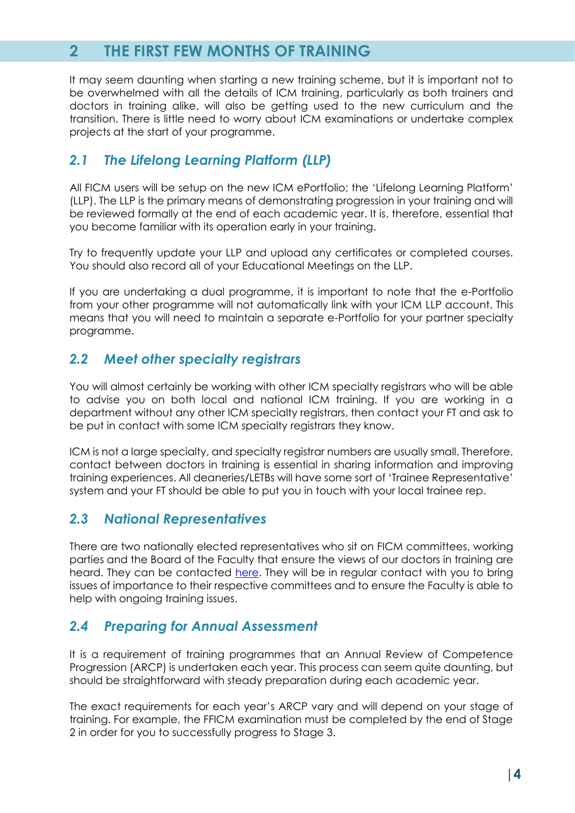# **2 THE FIRST FEW MONTHS OF TRAINING**

It may seem daunting when starting a new training scheme, but it is important not to be overwhelmed with all the details of ICM training, particularly as both trainers and doctors in training alike, will also be getting used to the new curriculum and the transition. There is little need to worry about ICM examinations or undertake complex projects at the start of your programme.

## *2.1 The Lifelong Learning Platform (LLP)*

All FICM users will be setup on the new ICM ePortfolio; the 'Lifelong Learning Platform' (LLP). The LLP is the primary means of demonstrating progression in your training and will be reviewed formally at the end of each academic year. It is, therefore, essential that you become familiar with its operation early in your training.

Try to frequently update your LLP and upload any certificates or completed courses. You should also record all of your Educational Meetings on the LLP.

If you are undertaking a dual programme, it is important to note that the e-Portfolio from your other programme will not automatically link with your ICM LLP account. This means that you will need to maintain a separate e-Portfolio for your partner specialty programme.

## *2.2 Meet other specialty registrars*

You will almost certainly be working with other ICM specialty registrars who will be able to advise you on both local and national ICM training. If you are working in a department without any other ICM specialty registrars, then contact your FT and ask to be put in contact with some ICM specialty registrars they know.

ICM is not a large specialty, and specialty registrar numbers are usually small. Therefore, contact between doctors in training is essential in sharing information and improving training experiences. All deaneries/LETBs will have some sort of 'Trainee Representative' system and your FT should be able to put you in touch with your local trainee rep.

## *2.3 National Representatives*

There are two nationally elected representatives who sit on FICM committees, working parties and the Board of the Faculty that ensure the views of our doctors in training are heard. They can be contacted [here.](https://www.ficm.ac.uk/trainingexamstrainees/trainee-representatives) They will be in regular contact with you to bring issues of importance to their respective committees and to ensure the Faculty is able to help with ongoing training issues.

## *2.4 Preparing for Annual Assessment*

It is a requirement of training programmes that an Annual Review of Competence Progression (ARCP) is undertaken each year. This process can seem quite daunting, but should be straightforward with steady preparation during each academic year.

The exact requirements for each year's ARCP vary and will depend on your stage of training. For example, the FFICM examination must be completed by the end of Stage 2 in order for you to successfully progress to Stage 3.